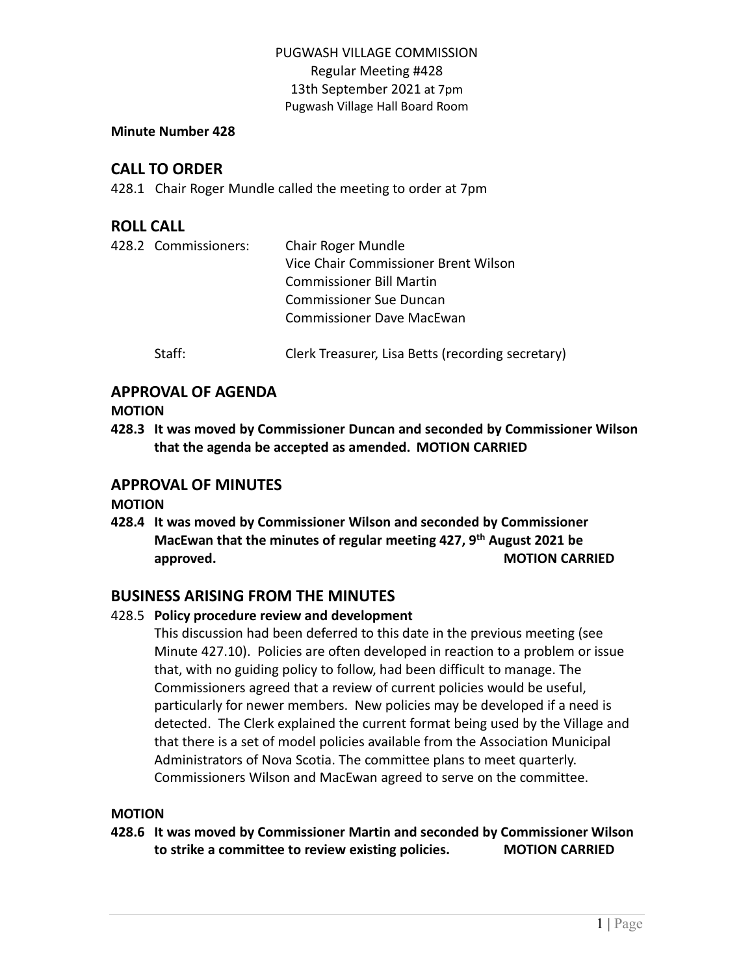#### **Minute Number 428**

# **CALL TO ORDER**

428.1 Chair Roger Mundle called the meeting to order at 7pm

# **ROLL CALL**

|  | 428.2 Commissioners: | Chair Roger Mundle                   |  |
|--|----------------------|--------------------------------------|--|
|  |                      | Vice Chair Commissioner Brent Wilson |  |
|  |                      | <b>Commissioner Bill Martin</b>      |  |
|  |                      | <b>Commissioner Sue Duncan</b>       |  |
|  |                      | <b>Commissioner Dave MacEwan</b>     |  |
|  |                      |                                      |  |

Staff: Clerk Treasurer, Lisa Betts (recording secretary)

## **APPROVAL OF AGENDA**

#### **MOTION**

**428.3 It was moved by Commissioner Duncan and seconded by Commissioner Wilson that the agenda be accepted as amended. MOTION CARRIED**

## **APPROVAL OF MINUTES**

## **MOTION**

**428.4 It was moved by Commissioner Wilson and seconded by Commissioner MacEwan that the minutes of regular meeting 427, 9 th August 2021 be approved. MOTION CARRIED** 

# **BUSINESS ARISING FROM THE MINUTES**

## 428.5 **Policy procedure review and development**

This discussion had been deferred to this date in the previous meeting (see Minute 427.10). Policies are often developed in reaction to a problem or issue that, with no guiding policy to follow, had been difficult to manage. The Commissioners agreed that a review of current policies would be useful, particularly for newer members. New policies may be developed if a need is detected. The Clerk explained the current format being used by the Village and that there is a set of model policies available from the Association Municipal Administrators of Nova Scotia. The committee plans to meet quarterly. Commissioners Wilson and MacEwan agreed to serve on the committee.

#### **MOTION**

**428.6 It was moved by Commissioner Martin and seconded by Commissioner Wilson to strike a committee to review existing policies. MOTION CARRIED**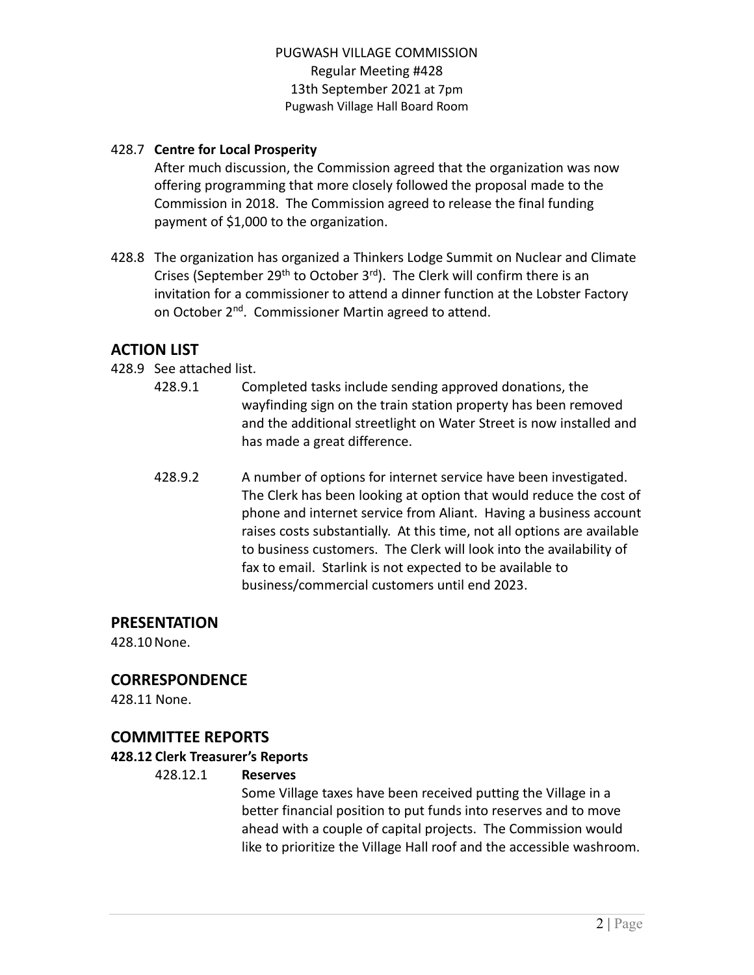#### 428.7 **Centre for Local Prosperity**

After much discussion, the Commission agreed that the organization was now offering programming that more closely followed the proposal made to the Commission in 2018. The Commission agreed to release the final funding payment of \$1,000 to the organization.

428.8 The organization has organized a Thinkers Lodge Summit on Nuclear and Climate Crises (September 29<sup>th</sup> to October 3<sup>rd</sup>). The Clerk will confirm there is an invitation for a commissioner to attend a dinner function at the Lobster Factory on October 2<sup>nd</sup>. Commissioner Martin agreed to attend.

# **ACTION LIST**

- 428.9 See attached list.
	- 428.9.1 Completed tasks include sending approved donations, the wayfinding sign on the train station property has been removed and the additional streetlight on Water Street is now installed and has made a great difference.
	- 428.9.2 A number of options for internet service have been investigated. The Clerk has been looking at option that would reduce the cost of phone and internet service from Aliant. Having a business account raises costs substantially. At this time, not all options are available to business customers. The Clerk will look into the availability of fax to email. Starlink is not expected to be available to business/commercial customers until end 2023.

#### **PRESENTATION**

428.10None.

## **CORRESPONDENCE**

428.11 None.

## **COMMITTEE REPORTS**

#### **428.12 Clerk Treasurer's Reports**

#### 428.12.1 **Reserves**

Some Village taxes have been received putting the Village in a better financial position to put funds into reserves and to move ahead with a couple of capital projects. The Commission would like to prioritize the Village Hall roof and the accessible washroom.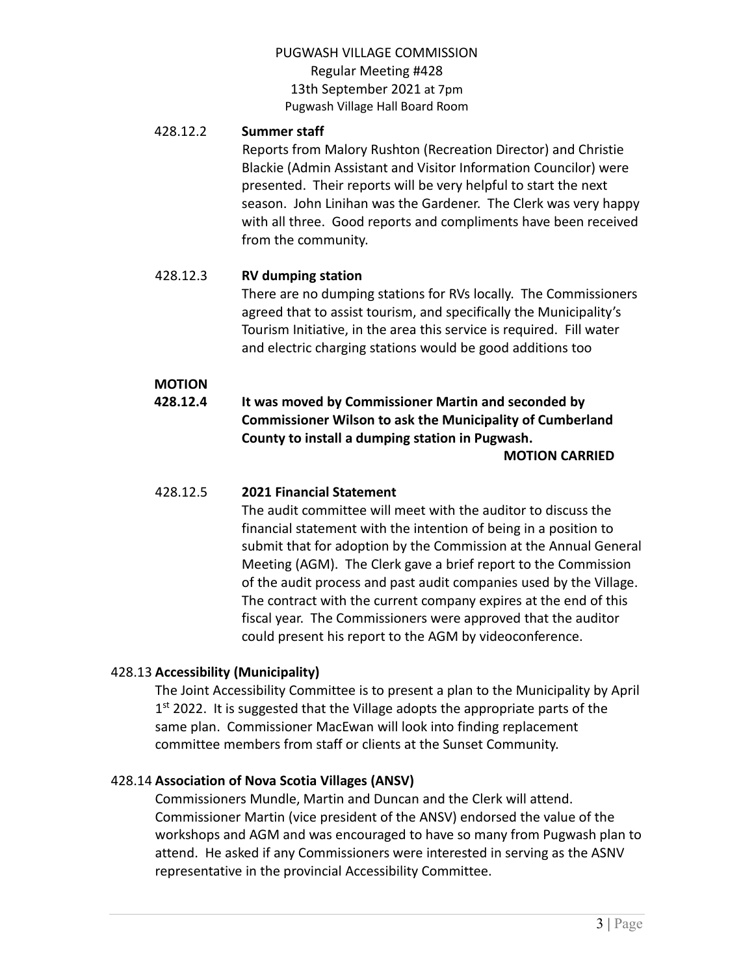#### 428.12.2 **Summer staff**

Reports from Malory Rushton (Recreation Director) and Christie Blackie (Admin Assistant and Visitor Information Councilor) were presented. Their reports will be very helpful to start the next season. John Linihan was the Gardener. The Clerk was very happy with all three. Good reports and compliments have been received from the community.

#### 428.12.3 **RV dumping station**

There are no dumping stations for RVs locally. The Commissioners agreed that to assist tourism, and specifically the Municipality's Tourism Initiative, in the area this service is required. Fill water and electric charging stations would be good additions too

## **MOTION**

**428.12.4 It was moved by Commissioner Martin and seconded by Commissioner Wilson to ask the Municipality of Cumberland County to install a dumping station in Pugwash.**

**MOTION CARRIED**

#### 428.12.5 **2021 Financial Statement**

The audit committee will meet with the auditor to discuss the financial statement with the intention of being in a position to submit that for adoption by the Commission at the Annual General Meeting (AGM). The Clerk gave a brief report to the Commission of the audit process and past audit companies used by the Village. The contract with the current company expires at the end of this fiscal year. The Commissioners were approved that the auditor could present his report to the AGM by videoconference.

## 428.13 **Accessibility (Municipality)**

The Joint Accessibility Committee is to present a plan to the Municipality by April 1<sup>st</sup> 2022. It is suggested that the Village adopts the appropriate parts of the same plan. Commissioner MacEwan will look into finding replacement committee members from staff or clients at the Sunset Community.

## 428.14 **Association of Nova Scotia Villages (ANSV)**

Commissioners Mundle, Martin and Duncan and the Clerk will attend. Commissioner Martin (vice president of the ANSV) endorsed the value of the workshops and AGM and was encouraged to have so many from Pugwash plan to attend. He asked if any Commissioners were interested in serving as the ASNV representative in the provincial Accessibility Committee.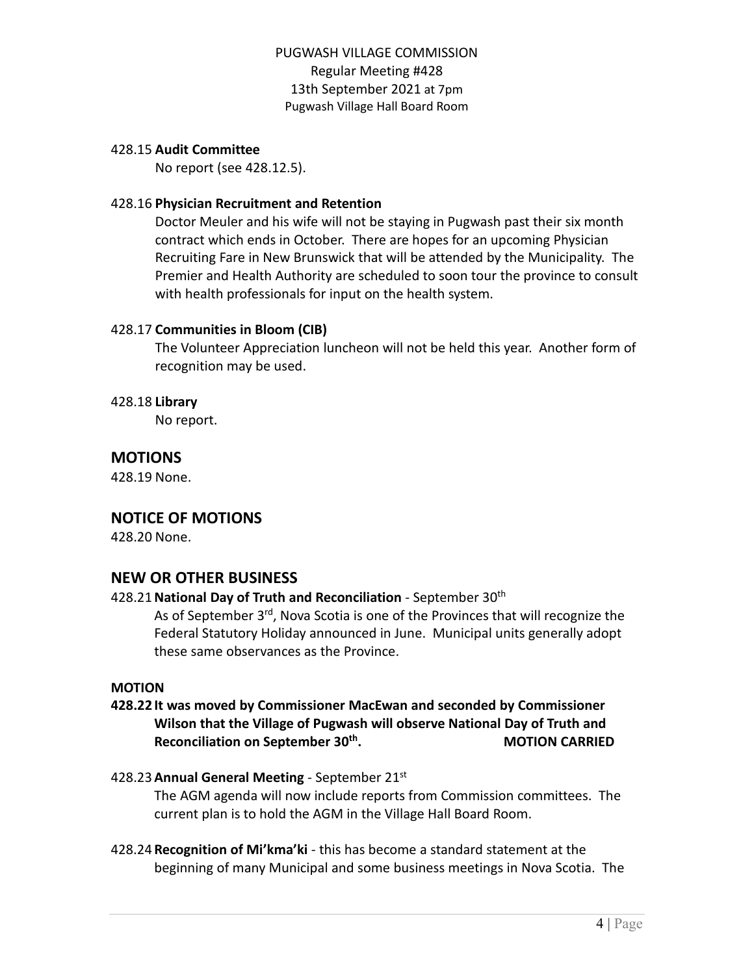#### 428.15 **Audit Committee**

No report (see 428.12.5).

#### 428.16 **Physician Recruitment and Retention**

Doctor Meuler and his wife will not be staying in Pugwash past their six month contract which ends in October. There are hopes for an upcoming Physician Recruiting Fare in New Brunswick that will be attended by the Municipality. The Premier and Health Authority are scheduled to soon tour the province to consult with health professionals for input on the health system.

#### 428.17 **Communities in Bloom (CIB)**

The Volunteer Appreciation luncheon will not be held this year. Another form of recognition may be used.

#### 428.18 **Library**

No report.

# **MOTIONS**

428.19 None.

## **NOTICE OF MOTIONS**

428.20 None.

## **NEW OR OTHER BUSINESS**

## 428.21**National Day of Truth and Reconciliation** - September 30th

As of September 3<sup>rd</sup>, Nova Scotia is one of the Provinces that will recognize the Federal Statutory Holiday announced in June. Municipal units generally adopt these same observances as the Province.

#### **MOTION**

#### **428.22 It was moved by Commissioner MacEwan and seconded by Commissioner Wilson that the Village of Pugwash will observe National Day of Truth and Reconciliation on September 30th . MOTION CARRIED**

## 428.23**Annual General Meeting** - September 21st

The AGM agenda will now include reports from Commission committees. The current plan is to hold the AGM in the Village Hall Board Room.

428.24 **Recognition of Mi'kma'ki** - this has become a standard statement at the beginning of many Municipal and some business meetings in Nova Scotia. The